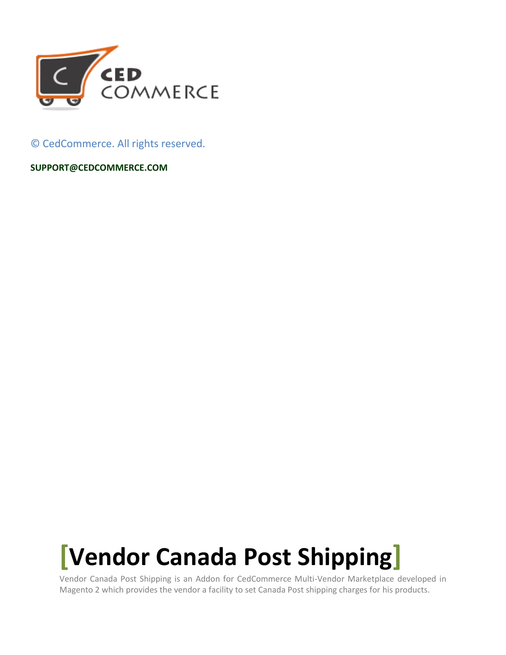

© CedCommerce. All rights reserved.

**SUPPORT@CEDCOMMERCE.COM**

# **[Vendor Canada Post Shipping]**

Vendor Canada Post Shipping is an Addon for CedCommerce Multi-Vendor Marketplace developed in Magento 2 which provides the vendor a facility to set Canada Post shipping charges for his products.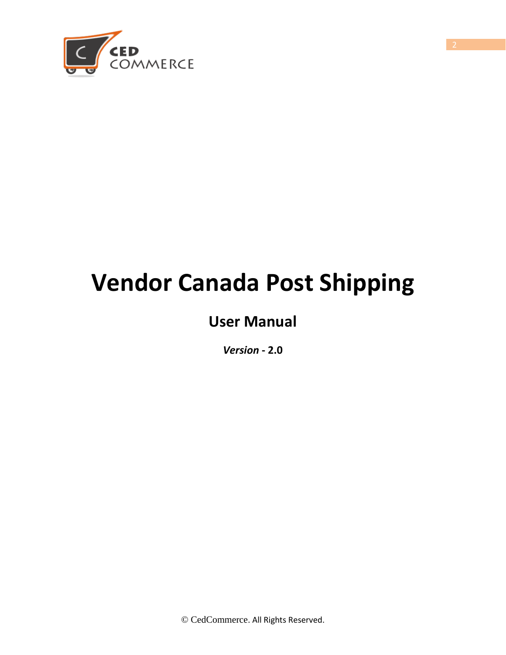

## **Vendor Canada Post Shipping**

## **User Manual**

*Version* **- 2.0**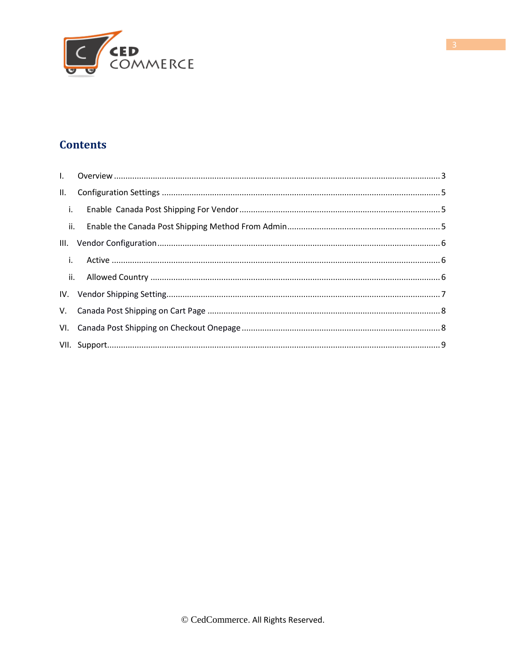

#### **Contents**

<span id="page-2-0"></span>

| $\blacksquare$ i. |  |
|-------------------|--|
|                   |  |
|                   |  |
| $\mathbf{i}$ .    |  |
|                   |  |
|                   |  |
|                   |  |
|                   |  |
|                   |  |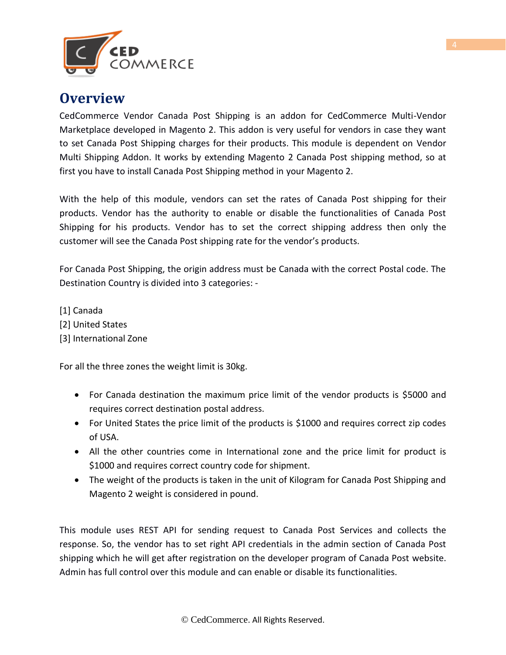

#### **Overview**

CedCommerce Vendor Canada Post Shipping is an addon for CedCommerce Multi-Vendor Marketplace developed in Magento 2. This addon is very useful for vendors in case they want to set Canada Post Shipping charges for their products. This module is dependent on Vendor Multi Shipping Addon. It works by extending Magento 2 Canada Post shipping method, so at first you have to install Canada Post Shipping method in your Magento 2.

With the help of this module, vendors can set the rates of Canada Post shipping for their products. Vendor has the authority to enable or disable the functionalities of Canada Post Shipping for his products. Vendor has to set the correct shipping address then only the customer will see the Canada Post shipping rate for the vendor's products.

For Canada Post Shipping, the origin address must be Canada with the correct Postal code. The Destination Country is divided into 3 categories: -

- [1] Canada
- [2] United States
- [3] International Zone

For all the three zones the weight limit is 30kg.

- For Canada destination the maximum price limit of the vendor products is \$5000 and requires correct destination postal address.
- For United States the price limit of the products is \$1000 and requires correct zip codes of USA.
- All the other countries come in International zone and the price limit for product is \$1000 and requires correct country code for shipment.
- The weight of the products is taken in the unit of Kilogram for Canada Post Shipping and Magento 2 weight is considered in pound.

This module uses REST API for sending request to Canada Post Services and collects the response. So, the vendor has to set right API credentials in the admin section of Canada Post shipping which he will get after registration on the developer program of Canada Post website. Admin has full control over this module and can enable or disable its functionalities.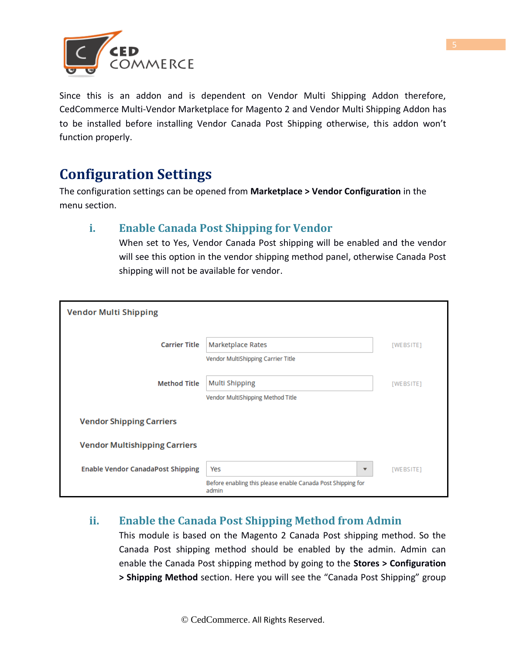

Since this is an addon and is dependent on Vendor Multi Shipping Addon therefore, CedCommerce Multi-Vendor Marketplace for Magento 2 and Vendor Multi Shipping Addon has to be installed before installing Vendor Canada Post Shipping otherwise, this addon won't function properly.

## <span id="page-4-0"></span>**Configuration Settings**

The configuration settings can be opened from **Marketplace > Vendor Configuration** in the menu section.

#### **i. Enable Canada Post Shipping for Vendor**

When set to Yes, Vendor Canada Post shipping will be enabled and the vendor will see this option in the vendor shipping method panel, otherwise Canada Post shipping will not be available for vendor.

| <b>Vendor Multi Shipping</b>             |                                                                      |           |
|------------------------------------------|----------------------------------------------------------------------|-----------|
| <b>Carrier Title</b>                     | Marketplace Rates<br>Vendor MultiShipping Carrier Title              | [WEBSITE] |
| <b>Method Title</b>                      | Multi Shipping<br>Vendor MultiShipping Method Title                  | [WEBSITE] |
| <b>Vendor Shipping Carriers</b>          |                                                                      |           |
| <b>Vendor Multishipping Carriers</b>     |                                                                      |           |
| <b>Enable Vendor CanadaPost Shipping</b> | Yes<br>▼                                                             | [WEBSITE] |
|                                          | Before enabling this please enable Canada Post Shipping for<br>admin |           |

#### **ii. Enable the Canada Post Shipping Method from Admin**

This module is based on the Magento 2 Canada Post shipping method. So the Canada Post shipping method should be enabled by the admin. Admin can enable the Canada Post shipping method by going to the **Stores > Configuration > Shipping Method** section. Here you will see the "Canada Post Shipping" group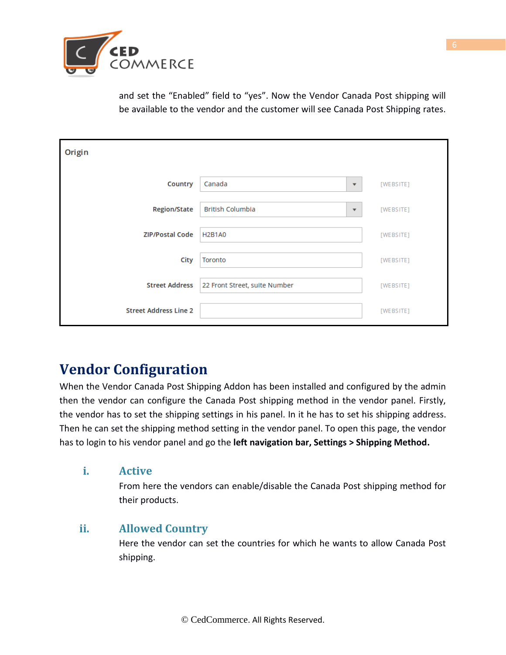

and set the "Enabled" field to "yes". Now the Vendor Canada Post shipping will be available to the vendor and the customer will see Canada Post Shipping rates.

| Origin                       |                                                     |           |
|------------------------------|-----------------------------------------------------|-----------|
| Country                      | Canada<br>$\overline{\mathbf{v}}$                   | [WEBSITE] |
| <b>Region/State</b>          | <b>British Columbia</b><br>$\overline{\phantom{a}}$ | [WEBSITE] |
| <b>ZIP/Postal Code</b>       | <b>H2B1A0</b>                                       | [WEBSITE] |
| <b>City</b>                  | Toronto                                             | [WEBSITE] |
| <b>Street Address</b>        | 22 Front Street, suite Number                       | [WEBSITE] |
| <b>Street Address Line 2</b> |                                                     | [WEBSITE] |

## **Vendor Configuration**

When the Vendor Canada Post Shipping Addon has been installed and configured by the admin then the vendor can configure the Canada Post shipping method in the vendor panel. Firstly, the vendor has to set the shipping settings in his panel. In it he has to set his shipping address. Then he can set the shipping method setting in the vendor panel. To open this page, the vendor has to login to his vendor panel and go the **left navigation bar, Settings > Shipping Method.**

#### **i. Active**

From here the vendors can enable/disable the Canada Post shipping method for their products.

#### **ii. Allowed Country**

Here the vendor can set the countries for which he wants to allow Canada Post shipping.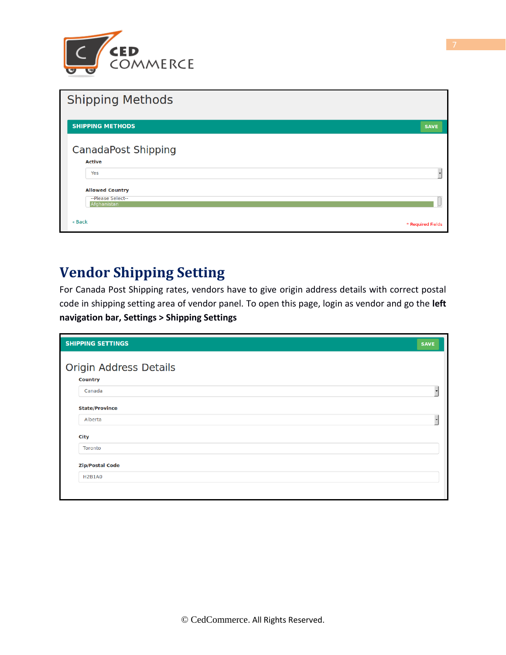

| <b>Shipping Methods</b>                                           |                   |
|-------------------------------------------------------------------|-------------------|
| <b>SHIPPING METHODS</b>                                           | <b>SAVE</b>       |
| <b>CanadaPost Shipping</b><br><b>Active</b>                       |                   |
| Yes                                                               |                   |
| <b>Allowed Country</b><br>--Please Select--<br><b>Afghanistan</b> |                   |
| « Back                                                            | * Required Fields |

## **Vendor Shipping Setting**

For Canada Post Shipping rates, vendors have to give origin address details with correct postal code in shipping setting area of vendor panel. To open this page, login as vendor and go the **left navigation bar, Settings > Shipping Settings**

| <b>SHIPPING SETTINGS</b>                 | <b>SAVE</b> |
|------------------------------------------|-------------|
| Origin Address Details<br><b>Country</b> |             |
| Canada                                   |             |
| <b>State/Province</b>                    |             |
| Alberta                                  |             |
| City                                     |             |
| Toronto                                  |             |
| <b>Zip/Postal Code</b>                   |             |
| <b>H2B1A0</b>                            |             |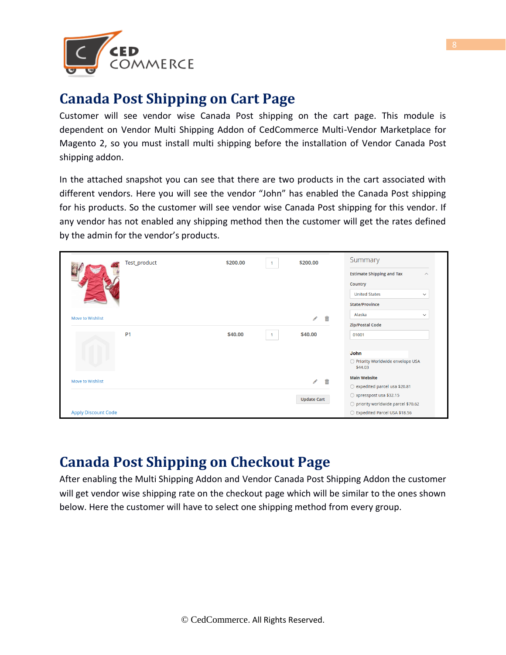

### **Canada Post Shipping on Cart Page**

Customer will see vendor wise Canada Post shipping on the cart page. This module is dependent on Vendor Multi Shipping Addon of CedCommerce Multi-Vendor Marketplace for Magento 2, so you must install multi shipping before the installation of Vendor Canada Post shipping addon.

In the attached snapshot you can see that there are two products in the cart associated with different vendors. Here you will see the vendor "John" has enabled the Canada Post shipping for his products. So the customer will see vendor wise Canada Post shipping for this vendor. If any vendor has not enabled any shipping method then the customer will get the rates defined by the admin for the vendor's products.

|                            | Test_product   | \$200.00 |              | \$200.00           | Summary                                                |
|----------------------------|----------------|----------|--------------|--------------------|--------------------------------------------------------|
|                            |                |          |              |                    | <b>Estimate Shipping and Tax</b><br>$\curvearrowright$ |
|                            |                |          |              |                    | Country                                                |
|                            |                |          |              |                    | <b>United States</b><br>$\checkmark$                   |
|                            |                |          |              |                    | <b>State/Province</b>                                  |
| Move to Wishlist           |                |          |              | 侖<br>◢             | Alaska<br>$\checkmark$                                 |
|                            |                |          |              |                    | <b>Zip/Postal Code</b>                                 |
|                            | P <sub>1</sub> | \$40.00  | $\mathbf{1}$ | \$40.00            | 01001                                                  |
|                            |                |          |              |                    |                                                        |
|                            |                |          |              |                    | <b>John</b>                                            |
|                            |                |          |              |                    | O Priority Worldwide envelope USA<br>\$44.03           |
| Move to Wishlist           |                |          |              | 啬<br>$\mathscr{P}$ | <b>Main Website</b>                                    |
|                            |                |          |              |                    | ○ expedited parcel usa \$20.81                         |
|                            |                |          |              | <b>Update Cart</b> | $\circlearrowright$ xpresspost usa \$32.15             |
|                            |                |          |              |                    | ○ priority worldwide parcel \$70.62                    |
| <b>Apply Discount Code</b> |                |          |              |                    | ◯ Expedited Parcel USA \$18.56                         |

### <span id="page-7-0"></span>**Canada Post Shipping on Checkout Page**

After enabling the Multi Shipping Addon and Vendor Canada Post Shipping Addon the customer will get vendor wise shipping rate on the checkout page which will be similar to the ones shown below. Here the customer will have to select one shipping method from every group.